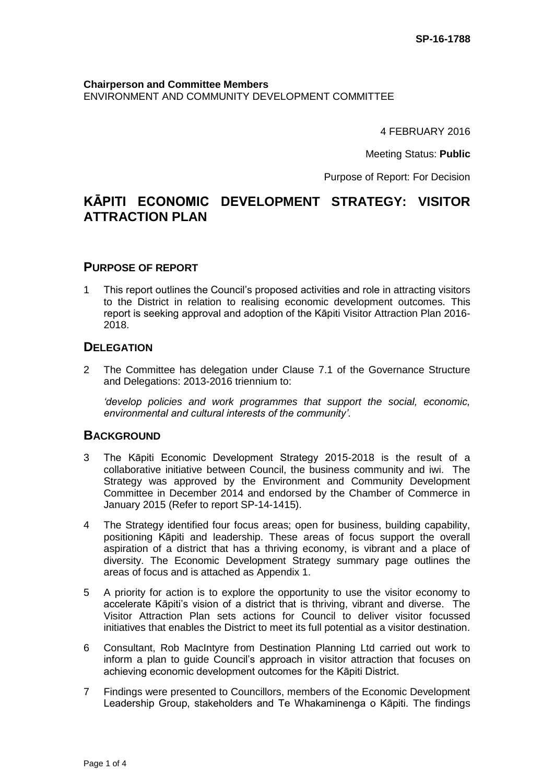**Chairperson and Committee Members** ENVIRONMENT AND COMMUNITY DEVELOPMENT COMMITTEE

4 FEBRUARY 2016

Meeting Status: **Public**

Purpose of Report: For Decision

# **KĀPITI ECONOMIC DEVELOPMENT STRATEGY: VISITOR ATTRACTION PLAN**

### **PURPOSE OF REPORT**

1 This report outlines the Council's proposed activities and role in attracting visitors to the District in relation to realising economic development outcomes. This report is seeking approval and adoption of the Kāpiti Visitor Attraction Plan 2016- 2018.

# **DELEGATION**

2 The Committee has delegation under Clause 7.1 of the Governance Structure and Delegations: 2013-2016 triennium to:

*'develop policies and work programmes that support the social, economic, environmental and cultural interests of the community'.*

### **BACKGROUND**

- 3 The Kāpiti Economic Development Strategy 2015-2018 is the result of a collaborative initiative between Council, the business community and iwi. The Strategy was approved by the Environment and Community Development Committee in December 2014 and endorsed by the Chamber of Commerce in January 2015 (Refer to report SP-14-1415).
- 4 The Strategy identified four focus areas; open for business, building capability, positioning Kāpiti and leadership. These areas of focus support the overall aspiration of a district that has a thriving economy, is vibrant and a place of diversity. The Economic Development Strategy summary page outlines the areas of focus and is attached as Appendix 1.
- 5 A priority for action is to explore the opportunity to use the visitor economy to accelerate Kāpiti's vision of a district that is thriving, vibrant and diverse. The Visitor Attraction Plan sets actions for Council to deliver visitor focussed initiatives that enables the District to meet its full potential as a visitor destination.
- 6 Consultant, Rob MacIntyre from Destination Planning Ltd carried out work to inform a plan to guide Council's approach in visitor attraction that focuses on achieving economic development outcomes for the Kāpiti District.
- 7 Findings were presented to Councillors, members of the Economic Development Leadership Group, stakeholders and Te Whakaminenga o Kāpiti. The findings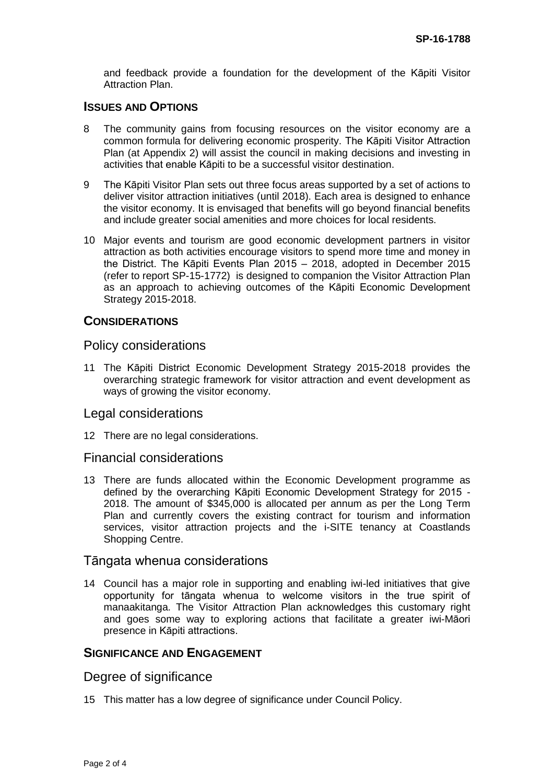and feedback provide a foundation for the development of the Kāpiti Visitor Attraction Plan.

# **ISSUES AND OPTIONS**

- 8 The community gains from focusing resources on the visitor economy are a common formula for delivering economic prosperity. The Kāpiti Visitor Attraction Plan (at Appendix 2) will assist the council in making decisions and investing in activities that enable Kāpiti to be a successful visitor destination.
- 9 The Kāpiti Visitor Plan sets out three focus areas supported by a set of actions to deliver visitor attraction initiatives (until 2018). Each area is designed to enhance the visitor economy. It is envisaged that benefits will go beyond financial benefits and include greater social amenities and more choices for local residents.
- 10 Major events and tourism are good economic development partners in visitor attraction as both activities encourage visitors to spend more time and money in the District. The Kāpiti Events Plan 2015 – 2018, adopted in December 2015 (refer to report SP-15-1772) is designed to companion the Visitor Attraction Plan as an approach to achieving outcomes of the Kāpiti Economic Development Strategy 2015-2018.

### **CONSIDERATIONS**

### Policy considerations

11 The Kāpiti District Economic Development Strategy 2015-2018 provides the overarching strategic framework for visitor attraction and event development as ways of growing the visitor economy.

# Legal considerations

12 There are no legal considerations.

### Financial considerations

13 There are funds allocated within the Economic Development programme as defined by the overarching Kāpiti Economic Development Strategy for 2015 - 2018. The amount of \$345,000 is allocated per annum as per the Long Term Plan and currently covers the existing contract for tourism and information services, visitor attraction projects and the i-SITE tenancy at Coastlands Shopping Centre.

# Tāngata whenua considerations

14 Council has a major role in supporting and enabling iwi-led initiatives that give opportunity for tāngata whenua to welcome visitors in the true spirit of manaakitanga. The Visitor Attraction Plan acknowledges this customary right and goes some way to exploring actions that facilitate a greater iwi-Māori presence in Kāpiti attractions.

# **SIGNIFICANCE AND ENGAGEMENT**

### Degree of significance

15 This matter has a low degree of significance under Council Policy.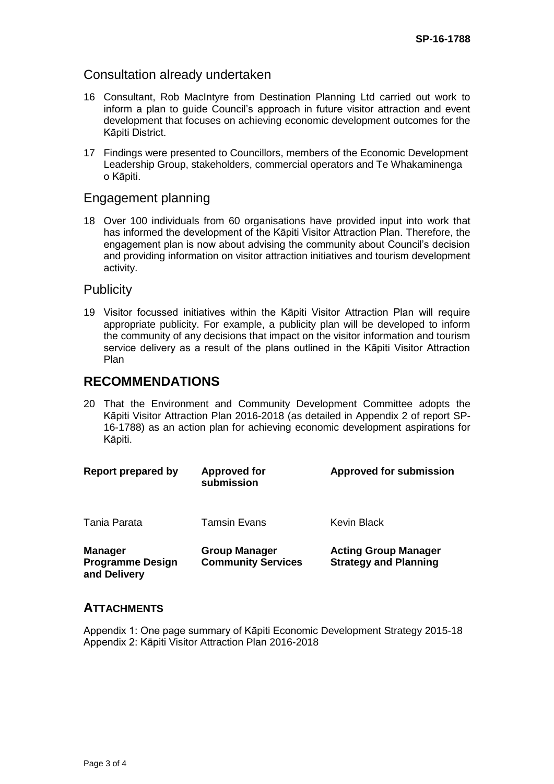# Consultation already undertaken

- 16 Consultant, Rob MacIntyre from Destination Planning Ltd carried out work to inform a plan to guide Council's approach in future visitor attraction and event development that focuses on achieving economic development outcomes for the Kāpiti District.
- 17 Findings were presented to Councillors, members of the Economic Development Leadership Group, stakeholders, commercial operators and Te Whakaminenga o Kāpiti.

### Engagement planning

18 Over 100 individuals from 60 organisations have provided input into work that has informed the development of the Kāpiti Visitor Attraction Plan. Therefore, the engagement plan is now about advising the community about Council's decision and providing information on visitor attraction initiatives and tourism development activity.

# **Publicity**

19 Visitor focussed initiatives within the Kāpiti Visitor Attraction Plan will require appropriate publicity. For example, a publicity plan will be developed to inform the community of any decisions that impact on the visitor information and tourism service delivery as a result of the plans outlined in the Kāpiti Visitor Attraction Plan

# **RECOMMENDATIONS**

20 That the Environment and Community Development Committee adopts the Kāpiti Visitor Attraction Plan 2016-2018 (as detailed in Appendix 2 of report SP-16-1788) as an action plan for achieving economic development aspirations for Kāpiti.

| <b>Report prepared by</b>                                 | <b>Approved for</b><br>submission                 | <b>Approved for submission</b>                              |
|-----------------------------------------------------------|---------------------------------------------------|-------------------------------------------------------------|
| Tania Parata                                              | <b>Tamsin Evans</b>                               | <b>Kevin Black</b>                                          |
| <b>Manager</b><br><b>Programme Design</b><br>and Delivery | <b>Group Manager</b><br><b>Community Services</b> | <b>Acting Group Manager</b><br><b>Strategy and Planning</b> |

# **ATTACHMENTS**

Appendix 1: One page summary of Kāpiti Economic Development Strategy 2015-18 Appendix 2: Kāpiti Visitor Attraction Plan 2016-2018